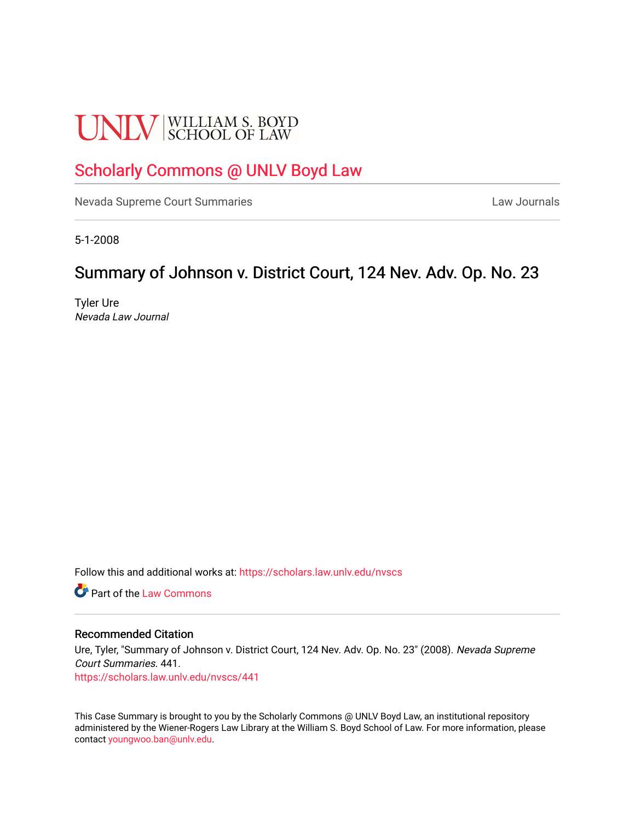# **UNLV** SCHOOL OF LAW

## [Scholarly Commons @ UNLV Boyd Law](https://scholars.law.unlv.edu/)

[Nevada Supreme Court Summaries](https://scholars.law.unlv.edu/nvscs) **Law Journals** Law Journals

5-1-2008

# Summary of Johnson v. District Court, 124 Nev. Adv. Op. No. 23

Tyler Ure Nevada Law Journal

Follow this and additional works at: [https://scholars.law.unlv.edu/nvscs](https://scholars.law.unlv.edu/nvscs?utm_source=scholars.law.unlv.edu%2Fnvscs%2F441&utm_medium=PDF&utm_campaign=PDFCoverPages)

**C** Part of the [Law Commons](http://network.bepress.com/hgg/discipline/578?utm_source=scholars.law.unlv.edu%2Fnvscs%2F441&utm_medium=PDF&utm_campaign=PDFCoverPages)

#### Recommended Citation

Ure, Tyler, "Summary of Johnson v. District Court, 124 Nev. Adv. Op. No. 23" (2008). Nevada Supreme Court Summaries. 441. [https://scholars.law.unlv.edu/nvscs/441](https://scholars.law.unlv.edu/nvscs/441?utm_source=scholars.law.unlv.edu%2Fnvscs%2F441&utm_medium=PDF&utm_campaign=PDFCoverPages)

This Case Summary is brought to you by the Scholarly Commons @ UNLV Boyd Law, an institutional repository administered by the Wiener-Rogers Law Library at the William S. Boyd School of Law. For more information, please contact [youngwoo.ban@unlv.edu](mailto:youngwoo.ban@unlv.edu).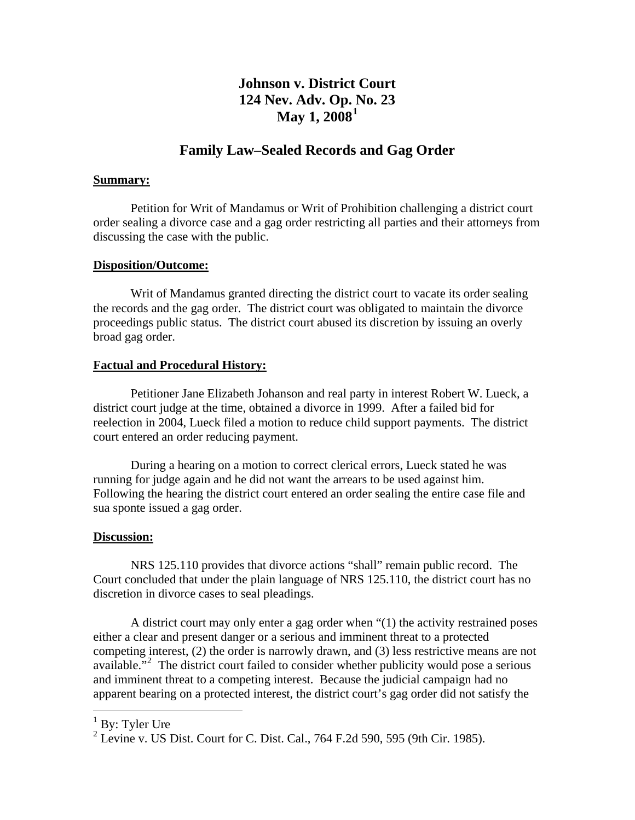## **Johnson v. District Court 124 Nev. Adv. Op. [N](#page-1-0)o. 23 May 1, 2008[1](#page-1-0)**

### **Family Law–Sealed Records and Gag Order**

#### **Summary:**

 Petition for Writ of Mandamus or Writ of Prohibition challenging a district court order sealing a divorce case and a gag order restricting all parties and their attorneys from discussing the case with the public.

#### **Disposition/Outcome:**

 Writ of Mandamus granted directing the district court to vacate its order sealing the records and the gag order. The district court was obligated to maintain the divorce proceedings public status. The district court abused its discretion by issuing an overly broad gag order.

#### **Factual and Procedural History:**

 Petitioner Jane Elizabeth Johanson and real party in interest Robert W. Lueck, a district court judge at the time, obtained a divorce in 1999. After a failed bid for reelection in 2004, Lueck filed a motion to reduce child support payments. The district court entered an order reducing payment.

 During a hearing on a motion to correct clerical errors, Lueck stated he was running for judge again and he did not want the arrears to be used against him. Following the hearing the district court entered an order sealing the entire case file and sua sponte issued a gag order.

#### **Discussion:**

 NRS 125.110 provides that divorce actions "shall" remain public record. The Court concluded that under the plain language of NRS 125.110, the district court has no discretion in divorce cases to seal pleadings.

 A district court may only enter a gag order when "(1) the activity restrained poses either a clear and present danger or a serious and imminent threat to a protected competing interest, (2) the order is narrowly drawn, and (3) less restrictive means are not available."<sup>[2](#page-1-1)</sup> The district court failed to consider whether publicity would pose a serious and imminent threat to a competing interest. Because the judicial campaign had no apparent bearing on a protected interest, the district court's gag order did not satisfy the

 $\overline{a}$ 

<span id="page-1-0"></span><sup>&</sup>lt;sup>1</sup> By: Tyler Ure

<span id="page-1-1"></span><sup>&</sup>lt;sup>2</sup> Levine v. US Dist. Court for C. Dist. Cal., 764 F.2d 590, 595 (9th Cir. 1985).